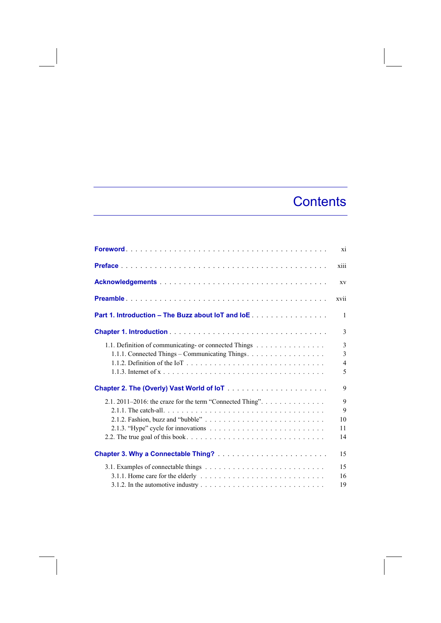## **Contents**

|                                                                                                          | xi                                      |
|----------------------------------------------------------------------------------------------------------|-----------------------------------------|
|                                                                                                          | xiii                                    |
|                                                                                                          | XV                                      |
|                                                                                                          | xvii                                    |
| <b>Part 1. Introduction – The Buzz about IoT and IoE</b>                                                 | 1                                       |
|                                                                                                          | 3                                       |
| 1.1. Definition of communicating- or connected Things<br>1.1.1. Connected Things - Communicating Things. | 3<br>3<br>$\overline{\mathcal{L}}$<br>5 |
|                                                                                                          | 9                                       |
| 2.1. 2011-2016: the craze for the term "Connected Thing".                                                | 9<br>9<br>10<br>11<br>14                |
|                                                                                                          | 15                                      |
|                                                                                                          | 15<br>16<br>19                          |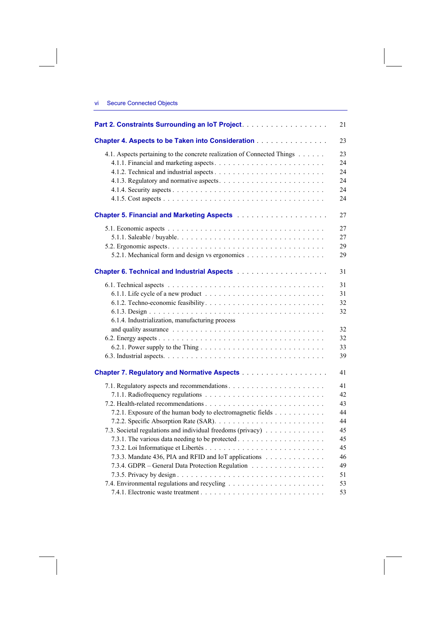## vi Secure Connected Objects

| Part 2. Constraints Surrounding an IoT Project.                                                                              | 21 |
|------------------------------------------------------------------------------------------------------------------------------|----|
| Chapter 4. Aspects to be Taken into Consideration                                                                            | 23 |
| 4.1. Aspects pertaining to the concrete realization of Connected Things                                                      | 23 |
|                                                                                                                              | 24 |
|                                                                                                                              | 24 |
|                                                                                                                              | 24 |
|                                                                                                                              | 24 |
|                                                                                                                              | 24 |
| <b>Chapter 5. Financial and Marketing Aspects Marketing Financial Association Chapter 5. Financial and Marketing Aspects</b> | 27 |
|                                                                                                                              | 27 |
|                                                                                                                              | 27 |
|                                                                                                                              | 29 |
| 5.2.1. Mechanical form and design vs ergonomics                                                                              | 29 |
|                                                                                                                              | 31 |
|                                                                                                                              | 31 |
|                                                                                                                              | 31 |
|                                                                                                                              | 32 |
|                                                                                                                              | 32 |
| 6.1.4. Industrialization, manufacturing process                                                                              |    |
|                                                                                                                              | 32 |
|                                                                                                                              | 32 |
|                                                                                                                              | 33 |
|                                                                                                                              | 39 |
|                                                                                                                              | 41 |
|                                                                                                                              | 41 |
|                                                                                                                              | 42 |
|                                                                                                                              | 43 |
| 7.2.1. Exposure of the human body to electromagnetic fields                                                                  | 44 |
|                                                                                                                              | 44 |
| 7.3. Societal regulations and individual freedoms (privacy)                                                                  | 45 |
|                                                                                                                              | 45 |
|                                                                                                                              | 45 |
| 7.3.3. Mandate 436, PIA and RFID and IoT applications                                                                        | 46 |
| 7.3.4. GDPR - General Data Protection Regulation                                                                             | 49 |
|                                                                                                                              | 51 |
|                                                                                                                              | 53 |
|                                                                                                                              | 53 |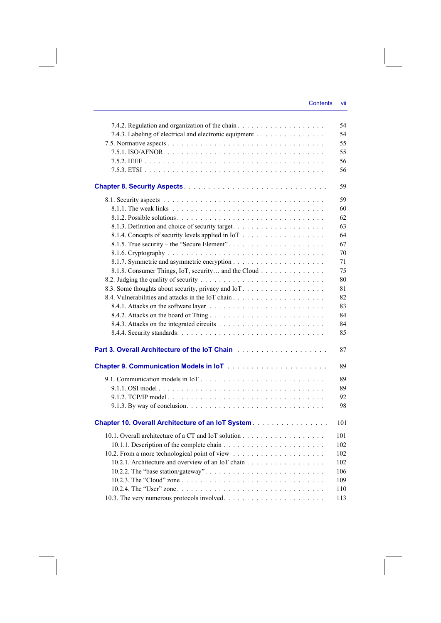|                                                        | 54  |
|--------------------------------------------------------|-----|
| 7.4.3. Labeling of electrical and electronic equipment | 54  |
|                                                        | 55  |
|                                                        | 55  |
|                                                        | 56  |
|                                                        | 56  |
|                                                        |     |
|                                                        | 59  |
|                                                        | 59  |
|                                                        | 60  |
|                                                        | 62  |
|                                                        | 63  |
|                                                        | 64  |
|                                                        | 67  |
|                                                        | 70  |
|                                                        | 71  |
| 8.1.8. Consumer Things, IoT, security and the Cloud    | 75  |
|                                                        | 80  |
| 8.3. Some thoughts about security, privacy and IoT.    | 81  |
|                                                        | 82  |
|                                                        | 83  |
|                                                        | 84  |
|                                                        | 84  |
|                                                        | 85  |
|                                                        | 87  |
|                                                        | 89  |
|                                                        | 89  |
|                                                        | 89  |
|                                                        | 92  |
|                                                        | 98  |
|                                                        |     |
| Chapter 10. Overall Architecture of an IoT System.     | 101 |
|                                                        | 101 |
|                                                        | 102 |
|                                                        | 102 |
|                                                        | 102 |
|                                                        | 106 |
|                                                        | 109 |
|                                                        | 110 |
|                                                        | 113 |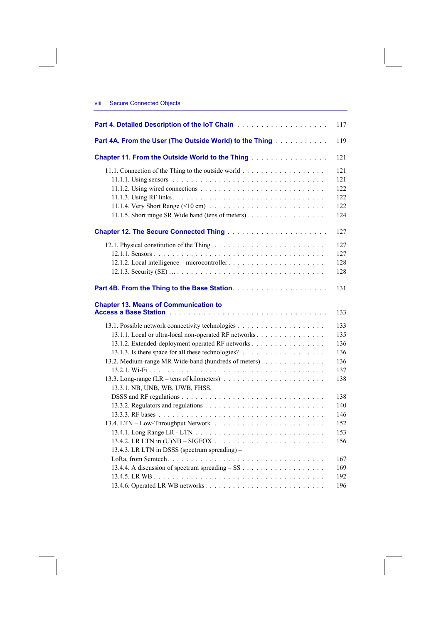## viii Secure Connected Objects

|                                                                                                                                | 117 |
|--------------------------------------------------------------------------------------------------------------------------------|-----|
| Part 4A. From the User (The Outside World) to the Thing <b>Farm A. Part 4A.</b> From the User (The Outside World) to the Thing | 119 |
| Chapter 11. From the Outside World to the Thing                                                                                | 121 |
|                                                                                                                                | 121 |
|                                                                                                                                | 121 |
|                                                                                                                                | 122 |
|                                                                                                                                | 122 |
|                                                                                                                                | 122 |
| 11.1.5. Short range SR Wide band (tens of meters).                                                                             | 124 |
|                                                                                                                                | 127 |
|                                                                                                                                | 127 |
|                                                                                                                                | 127 |
|                                                                                                                                | 128 |
|                                                                                                                                | 128 |
|                                                                                                                                | 131 |
| <b>Chapter 13. Means of Communication to</b>                                                                                   | 133 |
|                                                                                                                                | 133 |
| 13.1.1. Local or ultra-local non-operated RF networks                                                                          | 135 |
| 13.1.2. Extended-deployment operated RF networks                                                                               | 136 |
|                                                                                                                                | 136 |
| 13.2. Medium-range MR Wide-band (hundreds of meters).                                                                          | 136 |
|                                                                                                                                | 137 |
| 13.3. Long-range (LR – tens of kilometers) $\ldots \ldots \ldots \ldots \ldots \ldots \ldots$                                  | 138 |
| 13.3.1. NB, UNB, WB, UWB, FHSS,                                                                                                |     |
|                                                                                                                                | 138 |
|                                                                                                                                | 140 |
|                                                                                                                                | 146 |
|                                                                                                                                | 152 |
|                                                                                                                                | 153 |
|                                                                                                                                | 156 |
| 13.4.3. LR LTN in DSSS (spectrum spreading) –                                                                                  |     |
|                                                                                                                                | 167 |
|                                                                                                                                | 169 |
|                                                                                                                                | 192 |
|                                                                                                                                | 196 |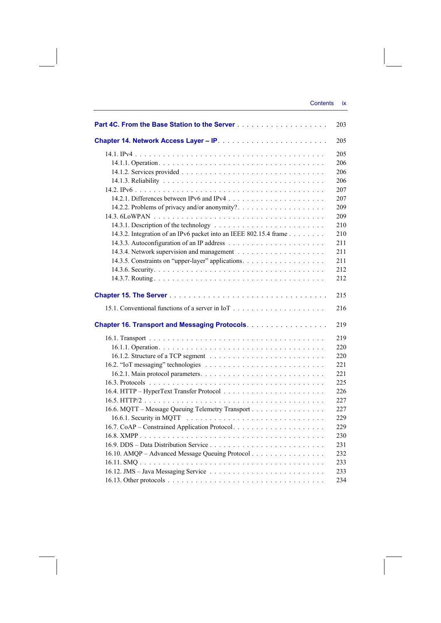| Part 4C. From the Base Station to the Server <b>Constitution of the Server</b> | 203 |
|--------------------------------------------------------------------------------|-----|
|                                                                                | 205 |
|                                                                                | 205 |
|                                                                                | 206 |
|                                                                                | 206 |
|                                                                                | 206 |
|                                                                                | 207 |
|                                                                                | 207 |
| 14.2.2. Problems of privacy and/or anonymity?                                  | 209 |
|                                                                                | 209 |
|                                                                                | 210 |
| 14.3.2. Integration of an IPv6 packet into an IEEE 802.15.4 frame              | 210 |
|                                                                                | 211 |
|                                                                                | 211 |
| 14.3.5. Constraints on "upper-layer" applications.                             | 211 |
|                                                                                | 212 |
|                                                                                | 212 |
|                                                                                | 215 |
|                                                                                | 216 |
| Chapter 16. Transport and Messaging Protocols.                                 | 219 |
|                                                                                | 219 |
|                                                                                | 220 |
|                                                                                | 220 |
|                                                                                | 221 |
|                                                                                | 221 |
|                                                                                | 225 |
|                                                                                | 226 |
|                                                                                | 227 |
| 16.6. MQTT - Message Queuing Telemetry Transport                               | 227 |
|                                                                                | 229 |
|                                                                                | 229 |
|                                                                                | 230 |
|                                                                                | 231 |
| 16.10. AMQP – Advanced Message Queuing Protocol                                | 232 |
|                                                                                | 233 |
|                                                                                | 233 |
|                                                                                | 234 |
|                                                                                |     |